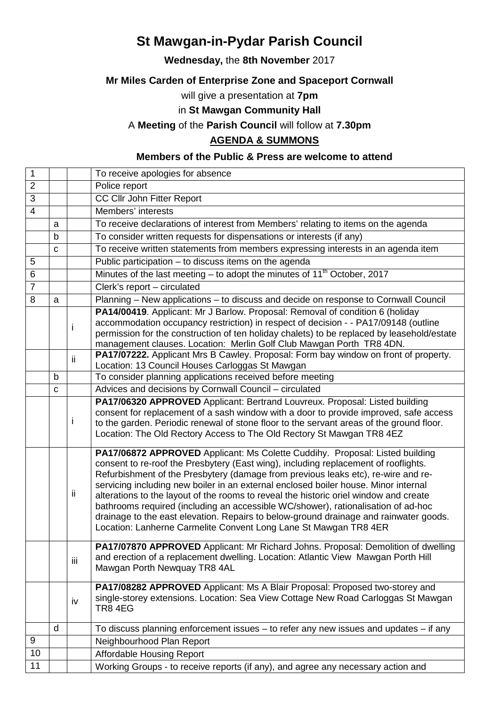# **St Mawgan-in-Pydar Parish Council**

### **Wednesday,** the **8th November** 2017

## **Mr Miles Carden of Enterprise Zone and Spaceport Cornwall**

will give a presentation at **7pm** 

## in **St Mawgan Community Hall**

## A **Meeting** of the **Parish Council** will follow at **7.30pm**

### **AGENDA & SUMMONS**

### **Members of the Public & Press are welcome to attend**

| $\mathbf{1}$   |   |     | To receive apologies for absence                                                                                                                                                                                                                                                                                                                                                                                                                                                                                                                                                                                                                                                           |
|----------------|---|-----|--------------------------------------------------------------------------------------------------------------------------------------------------------------------------------------------------------------------------------------------------------------------------------------------------------------------------------------------------------------------------------------------------------------------------------------------------------------------------------------------------------------------------------------------------------------------------------------------------------------------------------------------------------------------------------------------|
| $\overline{2}$ |   |     | Police report                                                                                                                                                                                                                                                                                                                                                                                                                                                                                                                                                                                                                                                                              |
| $\overline{3}$ |   |     | <b>CC Cllr John Fitter Report</b>                                                                                                                                                                                                                                                                                                                                                                                                                                                                                                                                                                                                                                                          |
| $\overline{4}$ |   |     | Members' interests                                                                                                                                                                                                                                                                                                                                                                                                                                                                                                                                                                                                                                                                         |
|                | a |     | To receive declarations of interest from Members' relating to items on the agenda                                                                                                                                                                                                                                                                                                                                                                                                                                                                                                                                                                                                          |
|                | b |     | To consider written requests for dispensations or interests (if any)                                                                                                                                                                                                                                                                                                                                                                                                                                                                                                                                                                                                                       |
|                | C |     | To receive written statements from members expressing interests in an agenda item                                                                                                                                                                                                                                                                                                                                                                                                                                                                                                                                                                                                          |
| 5              |   |     | Public participation - to discuss items on the agenda                                                                                                                                                                                                                                                                                                                                                                                                                                                                                                                                                                                                                                      |
| 6              |   |     | Minutes of the last meeting $-$ to adopt the minutes of 11 <sup>th</sup> October, 2017                                                                                                                                                                                                                                                                                                                                                                                                                                                                                                                                                                                                     |
| $\overline{7}$ |   |     | Clerk's report $-\overline{c}$ circulated                                                                                                                                                                                                                                                                                                                                                                                                                                                                                                                                                                                                                                                  |
| 8              | a |     | Planning - New applications - to discuss and decide on response to Cornwall Council                                                                                                                                                                                                                                                                                                                                                                                                                                                                                                                                                                                                        |
|                |   | i   | PA14/00419. Applicant: Mr J Barlow. Proposal: Removal of condition 6 (holiday<br>accommodation occupancy restriction) in respect of decision - - PA17/09148 (outline<br>permission for the construction of ten holiday chalets) to be replaced by leasehold/estate<br>management clauses. Location: Merlin Golf Club Mawgan Porth TR8 4DN.                                                                                                                                                                                                                                                                                                                                                 |
|                |   | ij. | PA17/07222. Applicant Mrs B Cawley. Proposal: Form bay window on front of property.<br>Location: 13 Council Houses Carloggas St Mawgan                                                                                                                                                                                                                                                                                                                                                                                                                                                                                                                                                     |
|                | b |     | To consider planning applications received before meeting                                                                                                                                                                                                                                                                                                                                                                                                                                                                                                                                                                                                                                  |
|                | С |     | Advices and decisions by Cornwall Council - circulated                                                                                                                                                                                                                                                                                                                                                                                                                                                                                                                                                                                                                                     |
|                |   | J.  | PA17/06320 APPROVED Applicant: Bertrand Louvreux. Proposal: Listed building<br>consent for replacement of a sash window with a door to provide improved, safe access<br>to the garden. Periodic renewal of stone floor to the servant areas of the ground floor.<br>Location: The Old Rectory Access to The Old Rectory St Mawgan TR8 4EZ                                                                                                                                                                                                                                                                                                                                                  |
|                |   | ij. | PA17/06872 APPROVED Applicant: Ms Colette Cuddihy. Proposal: Listed building<br>consent to re-roof the Presbytery (East wing), including replacement of rooflights.<br>Refurbishment of the Presbytery (damage from previous leaks etc), re-wire and re-<br>servicing including new boiler in an external enclosed boiler house. Minor internal<br>alterations to the layout of the rooms to reveal the historic oriel window and create<br>bathrooms required (including an accessible WC/shower), rationalisation of ad-hoc<br>drainage to the east elevation. Repairs to below-ground drainage and rainwater goods.<br>Location: Lanherne Carmelite Convent Long Lane St Mawgan TR8 4ER |
|                |   | iii | PA17/07870 APPROVED Applicant: Mr Richard Johns. Proposal: Demolition of dwelling<br>and erection of a replacement dwelling. Location: Atlantic View Mawgan Porth Hill<br>Mawgan Porth Newquay TR8 4AL                                                                                                                                                                                                                                                                                                                                                                                                                                                                                     |
|                |   | iv  | PA17/08282 APPROVED Applicant: Ms A Blair Proposal: Proposed two-storey and<br>single-storey extensions. Location: Sea View Cottage New Road Carloggas St Mawgan<br><b>TR8 4EG</b>                                                                                                                                                                                                                                                                                                                                                                                                                                                                                                         |
|                | d |     | To discuss planning enforcement issues $-$ to refer any new issues and updates $-$ if any                                                                                                                                                                                                                                                                                                                                                                                                                                                                                                                                                                                                  |
| 9              |   |     | Neighbourhood Plan Report                                                                                                                                                                                                                                                                                                                                                                                                                                                                                                                                                                                                                                                                  |
| 10             |   |     | Affordable Housing Report                                                                                                                                                                                                                                                                                                                                                                                                                                                                                                                                                                                                                                                                  |
| 11             |   |     | Working Groups - to receive reports (if any), and agree any necessary action and                                                                                                                                                                                                                                                                                                                                                                                                                                                                                                                                                                                                           |